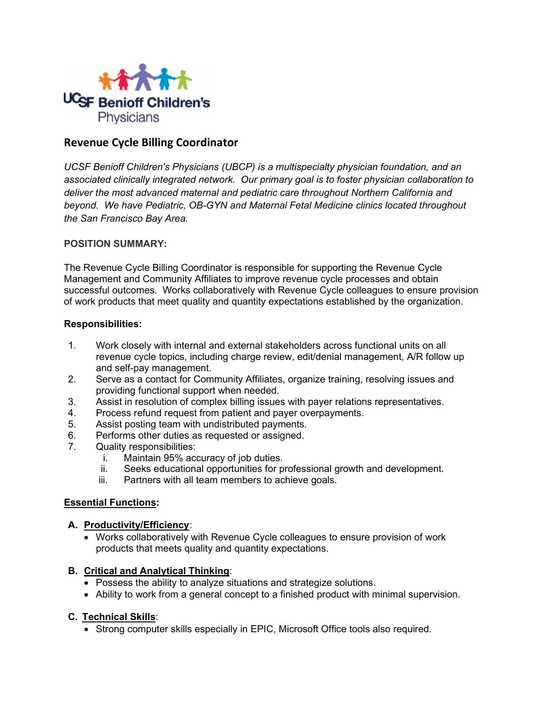

## Revenue Cycle Billing Coordinator

UCSF Benioff Children's Physicians (UBCP) is a multispecialty physician foundation, and an associated clinically integrated network. Our primary goal is to foster physician collaboration to deliver the most advanced maternal and pediatric care throughout Northern California and beyond. We have Pediatric, OB-GYN and Maternal Fetal Medicine clinics located throughout the San Francisco Bay Area.

#### POSITION SUMMARY:

The Revenue Cycle Billing Coordinator is responsible for supporting the Revenue Cycle Management and Community Affiliates to improve revenue cycle processes and obtain successful outcomes. Works collaboratively with Revenue Cycle colleagues to ensure provision of work products that meet quality and quantity expectations established by the organization.

#### Responsibilities:

- 1. Work closely with internal and external stakeholders across functional units on all revenue cycle topics, including charge review, edit/denial management, A/R follow up and self-pay management.
- 2. Serve as a contact for Community Affiliates, organize training, resolving issues and providing functional support when needed.
- 3. Assist in resolution of complex billing issues with payer relations representatives.
- 4. Process refund request from patient and payer overpayments.
- 5. Assist posting team with undistributed payments.
- 6. Performs other duties as requested or assigned.
- 7. Quality responsibilities:
	- i. Maintain 95% accuracy of job duties.
	- ii. Seeks educational opportunities for professional growth and development.
	- iii. Partners with all team members to achieve goals.

#### Essential Functions:

#### A. Productivity/Efficiency:

 Works collaboratively with Revenue Cycle colleagues to ensure provision of work products that meets quality and quantity expectations.

#### B. Critical and Analytical Thinking:

- Possess the ability to analyze situations and strategize solutions.
- Ability to work from a general concept to a finished product with minimal supervision.

#### C. Technical Skills:

Strong computer skills especially in EPIC, Microsoft Office tools also required.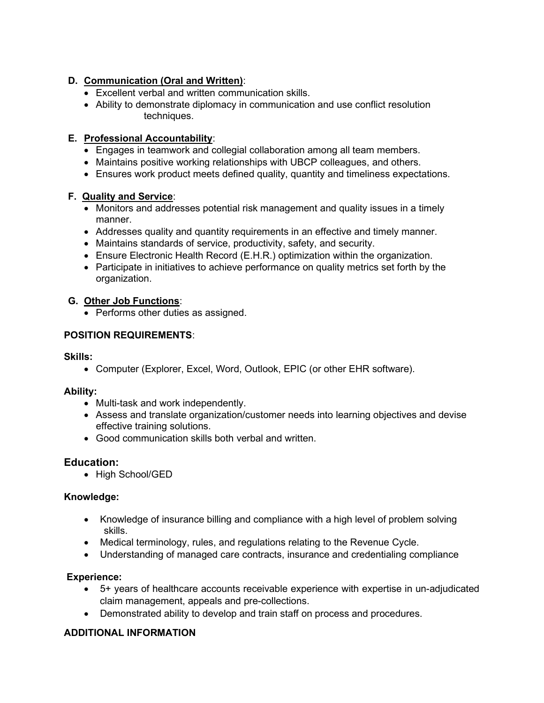### D. Communication (Oral and Written):

- Excellent verbal and written communication skills.
- Ability to demonstrate diplomacy in communication and use conflict resolution techniques.

## E. Professional Accountability:

- Engages in teamwork and collegial collaboration among all team members.
- Maintains positive working relationships with UBCP colleagues, and others.
- Ensures work product meets defined quality, quantity and timeliness expectations.

## F. Quality and Service:

- Monitors and addresses potential risk management and quality issues in a timely manner.
- Addresses quality and quantity requirements in an effective and timely manner.
- Maintains standards of service, productivity, safety, and security.
- Ensure Electronic Health Record (E.H.R.) optimization within the organization.
- Participate in initiatives to achieve performance on quality metrics set forth by the organization.

## G. Other Job Functions:

• Performs other duties as assigned.

## POSITION REQUIREMENTS:

### Skills:

Computer (Explorer, Excel, Word, Outlook, EPIC (or other EHR software).

### Ability:

- Multi-task and work independently.
- Assess and translate organization/customer needs into learning objectives and devise effective training solutions.
- Good communication skills both verbal and written.

# Education:

• High School/GED

# Knowledge:

- Knowledge of insurance billing and compliance with a high level of problem solving skills.
- Medical terminology, rules, and regulations relating to the Revenue Cycle.
- Understanding of managed care contracts, insurance and credentialing compliance

### Experience:

- 5+ years of healthcare accounts receivable experience with expertise in un-adjudicated claim management, appeals and pre-collections.
- Demonstrated ability to develop and train staff on process and procedures.

# ADDITIONAL INFORMATION